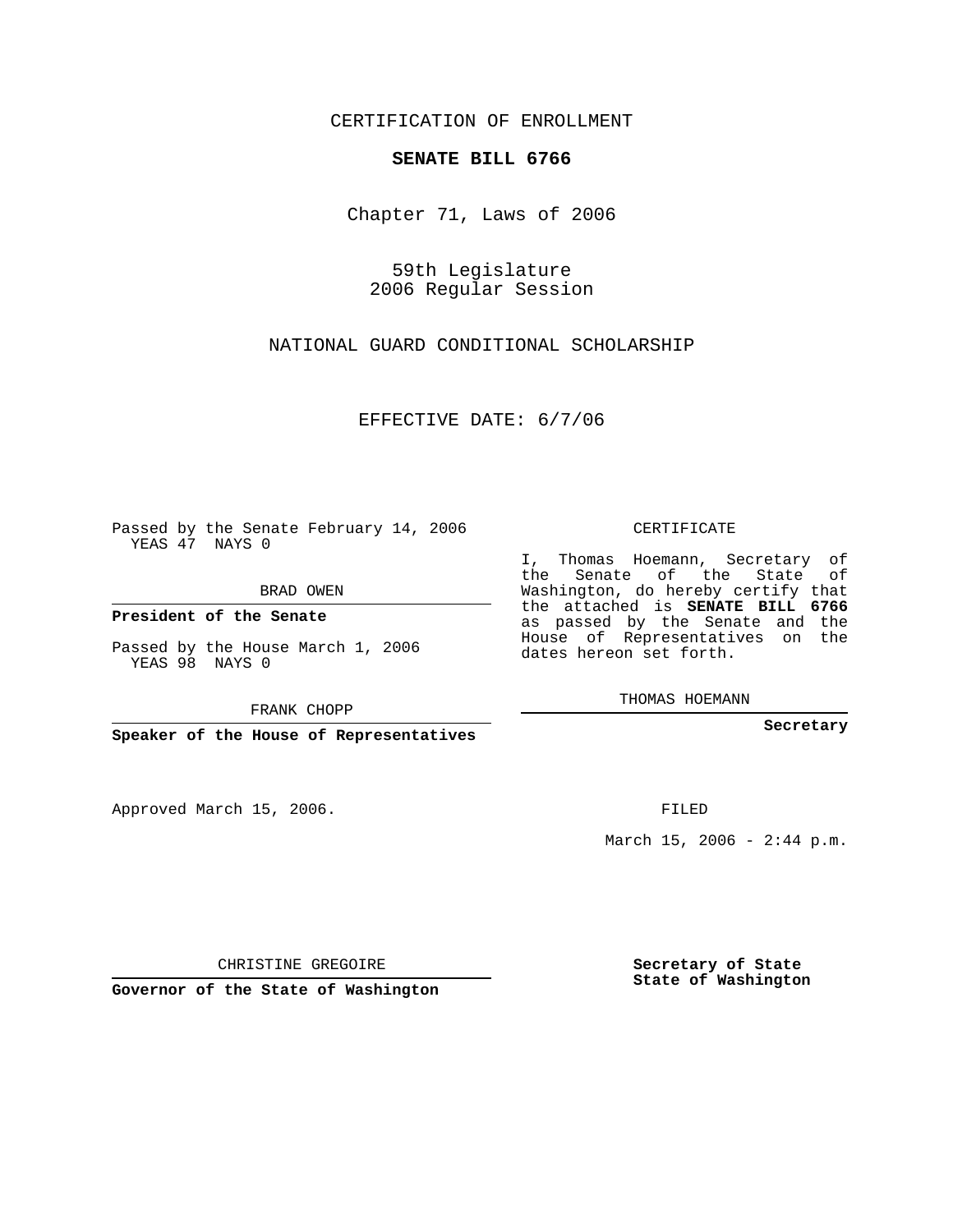CERTIFICATION OF ENROLLMENT

## **SENATE BILL 6766**

Chapter 71, Laws of 2006

59th Legislature 2006 Regular Session

NATIONAL GUARD CONDITIONAL SCHOLARSHIP

EFFECTIVE DATE: 6/7/06

Passed by the Senate February 14, 2006 YEAS 47 NAYS 0

BRAD OWEN

**President of the Senate**

Passed by the House March 1, 2006 YEAS 98 NAYS 0

FRANK CHOPP

**Speaker of the House of Representatives**

Approved March 15, 2006.

CERTIFICATE

I, Thomas Hoemann, Secretary of the Senate of the State of Washington, do hereby certify that the attached is **SENATE BILL 6766** as passed by the Senate and the House of Representatives on the dates hereon set forth.

THOMAS HOEMANN

**Secretary**

FILED

March 15, 2006 -  $2:44$  p.m.

CHRISTINE GREGOIRE

**Governor of the State of Washington**

**Secretary of State State of Washington**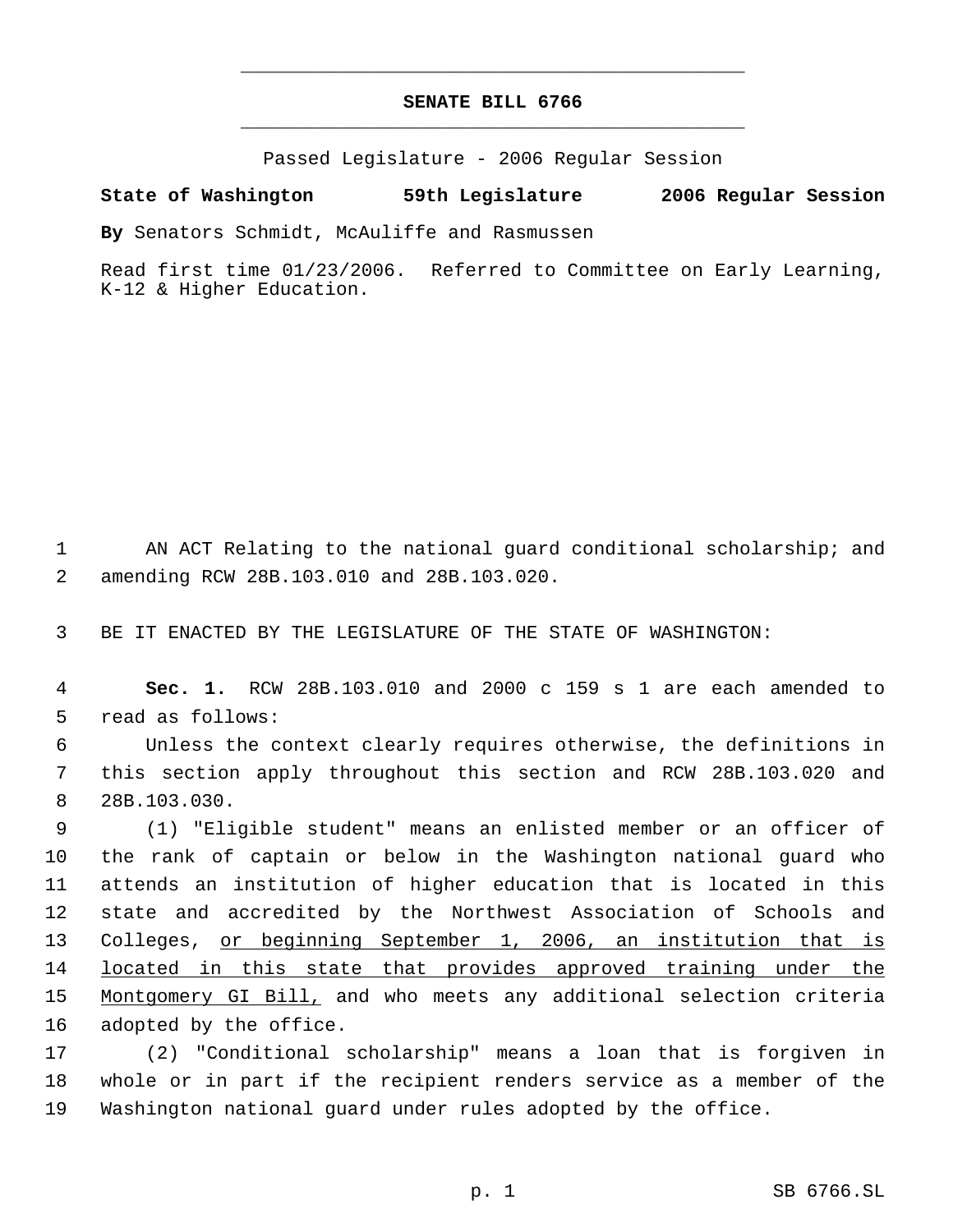## **SENATE BILL 6766** \_\_\_\_\_\_\_\_\_\_\_\_\_\_\_\_\_\_\_\_\_\_\_\_\_\_\_\_\_\_\_\_\_\_\_\_\_\_\_\_\_\_\_\_\_

\_\_\_\_\_\_\_\_\_\_\_\_\_\_\_\_\_\_\_\_\_\_\_\_\_\_\_\_\_\_\_\_\_\_\_\_\_\_\_\_\_\_\_\_\_

Passed Legislature - 2006 Regular Session

## **State of Washington 59th Legislature 2006 Regular Session**

**By** Senators Schmidt, McAuliffe and Rasmussen

Read first time 01/23/2006. Referred to Committee on Early Learning, K-12 & Higher Education.

 AN ACT Relating to the national guard conditional scholarship; and amending RCW 28B.103.010 and 28B.103.020.

BE IT ENACTED BY THE LEGISLATURE OF THE STATE OF WASHINGTON:

 **Sec. 1.** RCW 28B.103.010 and 2000 c 159 s 1 are each amended to read as follows:

 Unless the context clearly requires otherwise, the definitions in this section apply throughout this section and RCW 28B.103.020 and 28B.103.030.

 (1) "Eligible student" means an enlisted member or an officer of the rank of captain or below in the Washington national guard who attends an institution of higher education that is located in this state and accredited by the Northwest Association of Schools and 13 Colleges, or beginning September 1, 2006, an institution that is 14 located in this state that provides approved training under the Montgomery GI Bill, and who meets any additional selection criteria adopted by the office.

 (2) "Conditional scholarship" means a loan that is forgiven in whole or in part if the recipient renders service as a member of the Washington national guard under rules adopted by the office.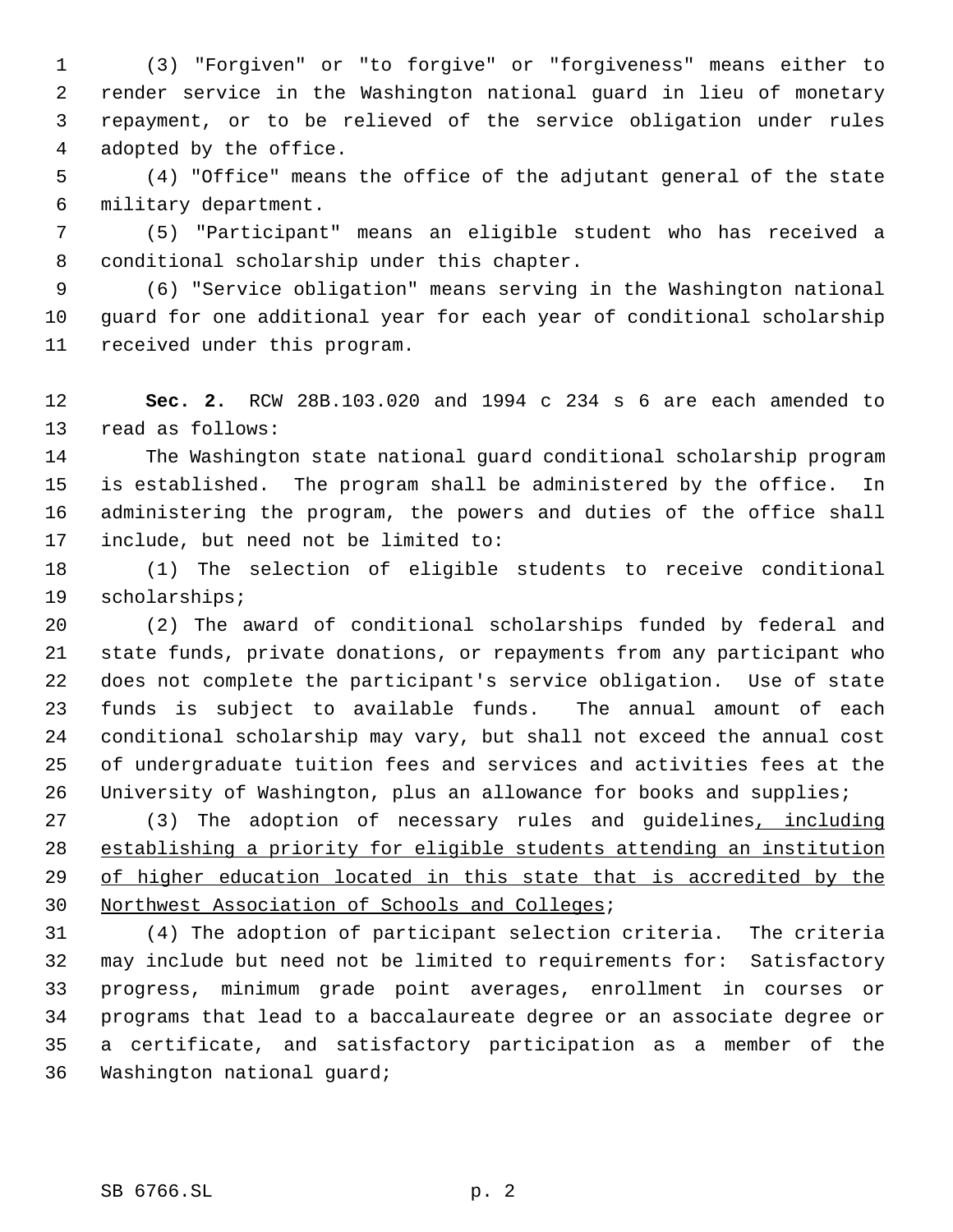(3) "Forgiven" or "to forgive" or "forgiveness" means either to render service in the Washington national guard in lieu of monetary repayment, or to be relieved of the service obligation under rules adopted by the office.

 (4) "Office" means the office of the adjutant general of the state military department.

 (5) "Participant" means an eligible student who has received a conditional scholarship under this chapter.

 (6) "Service obligation" means serving in the Washington national guard for one additional year for each year of conditional scholarship received under this program.

 **Sec. 2.** RCW 28B.103.020 and 1994 c 234 s 6 are each amended to read as follows:

 The Washington state national guard conditional scholarship program is established. The program shall be administered by the office. In administering the program, the powers and duties of the office shall include, but need not be limited to:

 (1) The selection of eligible students to receive conditional scholarships;

 (2) The award of conditional scholarships funded by federal and state funds, private donations, or repayments from any participant who does not complete the participant's service obligation. Use of state funds is subject to available funds. The annual amount of each conditional scholarship may vary, but shall not exceed the annual cost of undergraduate tuition fees and services and activities fees at the University of Washington, plus an allowance for books and supplies;

 (3) The adoption of necessary rules and guidelines, including establishing a priority for eligible students attending an institution 29 of higher education located in this state that is accredited by the Northwest Association of Schools and Colleges;

 (4) The adoption of participant selection criteria. The criteria may include but need not be limited to requirements for: Satisfactory progress, minimum grade point averages, enrollment in courses or programs that lead to a baccalaureate degree or an associate degree or a certificate, and satisfactory participation as a member of the Washington national guard;